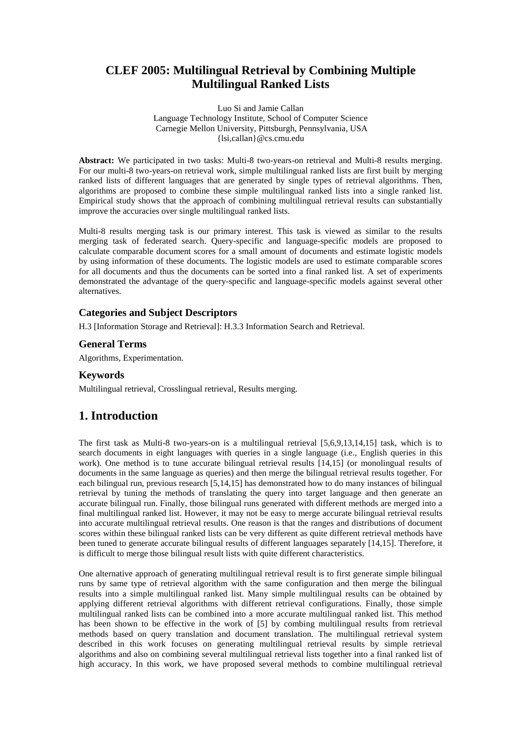# **CLEF 2005: Multilingual Retrieval by Combining Multiple Multilingual Ranked Lists**

Luo Si and Jamie Callan Language Technology Institute, School of Computer Science Carnegie Mellon University, Pittsburgh, Pennsylvania, USA {lsi,callan}@cs.cmu.edu

**Abstract:** We participated in two tasks: Multi-8 two-years-on retrieval and Multi-8 results merging. For our multi-8 two-years-on retrieval work, simple multilingual ranked lists are first built by merging ranked lists of different languages that are generated by single types of retrieval algorithms. Then, algorithms are proposed to combine these simple multilingual ranked lists into a single ranked list. Empirical study shows that the approach of combining multilingual retrieval results can substantially improve the accuracies over single multilingual ranked lists.

Multi-8 results merging task is our primary interest. This task is viewed as similar to the results merging task of federated search. Query-specific and language-specific models are proposed to calculate comparable document scores for a small amount of documents and estimate logistic models by using information of these documents. The logistic models are used to estimate comparable scores for all documents and thus the documents can be sorted into a final ranked list. A set of experiments demonstrated the advantage of the query-specific and language-specific models against several other alternatives.

### **Categories and Subject Descriptors**

H.3 [Information Storage and Retrieval]: H.3.3 Information Search and Retrieval.

### **General Terms**

Algorithms, Experimentation.

#### **Keywords**

Multilingual retrieval, Crosslingual retrieval, Results merging.

## **1. Introduction**

The first task as Multi-8 two-years-on is a multilingual retrieval [5,6,9,13,14,15] task, which is to search documents in eight languages with queries in a single language (i.e., English queries in this work). One method is to tune accurate bilingual retrieval results [14,15] (or monolingual results of documents in the same language as queries) and then merge the bilingual retrieval results together. For each bilingual run, previous research [5,14,15] has demonstrated how to do many instances of bilingual retrieval by tuning the methods of translating the query into target language and then generate an accurate bilingual run. Finally, those bilingual runs generated with different methods are merged into a final multilingual ranked list. However, it may not be easy to merge accurate bilingual retrieval results into accurate multilingual retrieval results. One reason is that the ranges and distributions of document scores within these bilingual ranked lists can be very different as quite different retrieval methods have been tuned to generate accurate bilingual results of different languages separately [14,15]. Therefore, it is difficult to merge those bilingual result lists with quite different characteristics.

One alternative approach of generating multilingual retrieval result is to first generate simple bilingual runs by same type of retrieval algorithm with the same configuration and then merge the bilingual results into a simple multilingual ranked list. Many simple multilingual results can be obtained by applying different retrieval algorithms with different retrieval configurations. Finally, those simple multilingual ranked lists can be combined into a more accurate multilingual ranked list. This method has been shown to be effective in the work of [5] by combing multilingual results from retrieval methods based on query translation and document translation. The multilingual retrieval system described in this work focuses on generating multilingual retrieval results by simple retrieval algorithms and also on combining several multilingual retrieval lists together into a final ranked list of high accuracy. In this work, we have proposed several methods to combine multilingual retrieval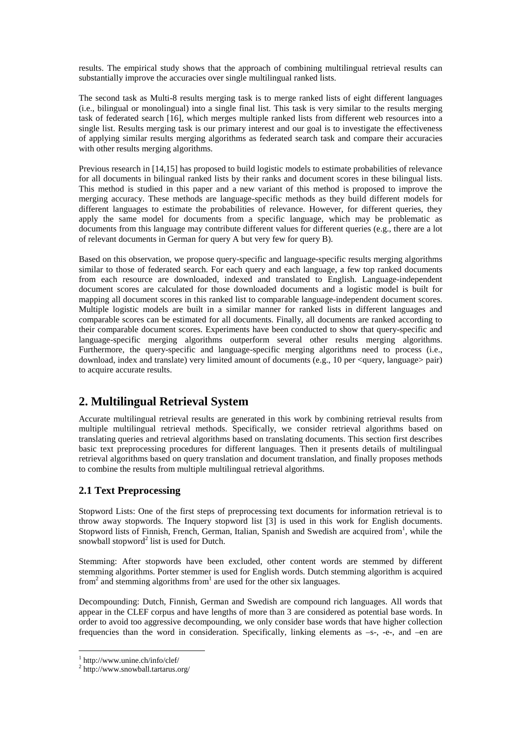results. The empirical study shows that the approach of combining multilingual retrieval results can substantially improve the accuracies over single multilingual ranked lists.

The second task as Multi-8 results merging task is to merge ranked lists of eight different languages (i.e., bilingual or monolingual) into a single final list. This task is very similar to the results merging task of federated search [16], which merges multiple ranked lists from different web resources into a single list. Results merging task is our primary interest and our goal is to investigate the effectiveness of applying similar results merging algorithms as federated search task and compare their accuracies with other results merging algorithms.

Previous research in [14,15] has proposed to build logistic models to estimate probabilities of relevance for all documents in bilingual ranked lists by their ranks and document scores in these bilingual lists. This method is studied in this paper and a new variant of this method is proposed to improve the merging accuracy. These methods are language-specific methods as they build different models for different languages to estimate the probabilities of relevance. However, for different queries, they apply the same model for documents from a specific language, which may be problematic as documents from this language may contribute different values for different queries (e.g., there are a lot of relevant documents in German for query A but very few for query B).

Based on this observation, we propose query-specific and language-specific results merging algorithms similar to those of federated search. For each query and each language, a few top ranked documents from each resource are downloaded, indexed and translated to English. Language-independent document scores are calculated for those downloaded documents and a logistic model is built for mapping all document scores in this ranked list to comparable language-independent document scores. Multiple logistic models are built in a similar manner for ranked lists in different languages and comparable scores can be estimated for all documents. Finally, all documents are ranked according to their comparable document scores. Experiments have been conducted to show that query-specific and language-specific merging algorithms outperform several other results merging algorithms. Furthermore, the query-specific and language-specific merging algorithms need to process (i.e., download, index and translate) very limited amount of documents (e.g., 10 per  $\le$ query, language $\ge$  pair) to acquire accurate results.

# **2. Multilingual Retrieval System**

Accurate multilingual retrieval results are generated in this work by combining retrieval results from multiple multilingual retrieval methods. Specifically, we consider retrieval algorithms based on translating queries and retrieval algorithms based on translating documents. This section first describes basic text preprocessing procedures for different languages. Then it presents details of multilingual retrieval algorithms based on query translation and document translation, and finally proposes methods to combine the results from multiple multilingual retrieval algorithms.

## **2.1 Text Preprocessing**

Stopword Lists: One of the first steps of preprocessing text documents for information retrieval is to throw away stopwords. The Inquery stopword list [3] is used in this work for English documents. Stopword lists of Finnish, French, German, Italian, Spanish and Swedish are acquired from<sup>1</sup>, while the snowball stopword<sup>2</sup> list is used for Dutch.

Stemming: After stopwords have been excluded, other content words are stemmed by different stemming algorithms. Porter stemmer is used for English words. Dutch stemming algorithm is acquired from<sup>2</sup> and stemming algorithms from<sup>1</sup> are used for the other six languages.

Decompounding: Dutch, Finnish, German and Swedish are compound rich languages. All words that appear in the CLEF corpus and have lengths of more than 3 are considered as potential base words. In order to avoid too aggressive decompounding, we only consider base words that have higher collection frequencies than the word in consideration. Specifically, linking elements as –s-, -e-, and –en are

 $\overline{a}$ 

<sup>1</sup> http://www.unine.ch/info/clef/

<sup>2</sup> http://www.snowball.tartarus.org/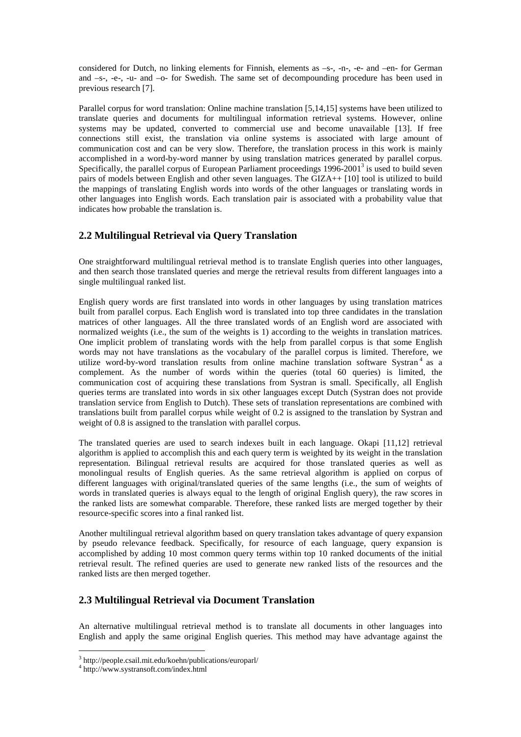considered for Dutch, no linking elements for Finnish, elements as –s-, -n-, -e- and –en- for German and –s-, -e-, -u- and –o- for Swedish. The same set of decompounding procedure has been used in previous research [7].

Parallel corpus for word translation: Online machine translation [5,14,15] systems have been utilized to translate queries and documents for multilingual information retrieval systems. However, online systems may be updated, converted to commercial use and become unavailable [13]. If free connections still exist, the translation via online systems is associated with large amount of communication cost and can be very slow. Therefore, the translation process in this work is mainly accomplished in a word-by-word manner by using translation matrices generated by parallel corpus. Specifically, the parallel corpus of European Parliament proceedings  $1996-2001^3$  is used to build seven pairs of models between English and other seven languages. The GIZA++ [10] tool is utilized to build the mappings of translating English words into words of the other languages or translating words in other languages into English words. Each translation pair is associated with a probability value that indicates how probable the translation is.

## **2.2 Multilingual Retrieval via Query Translation**

One straightforward multilingual retrieval method is to translate English queries into other languages, and then search those translated queries and merge the retrieval results from different languages into a single multilingual ranked list.

English query words are first translated into words in other languages by using translation matrices built from parallel corpus. Each English word is translated into top three candidates in the translation matrices of other languages. All the three translated words of an English word are associated with normalized weights (i.e., the sum of the weights is 1) according to the weights in translation matrices. One implicit problem of translating words with the help from parallel corpus is that some English words may not have translations as the vocabulary of the parallel corpus is limited. Therefore, we utilize word-by-word translation results from online machine translation software Systran 4 as a complement. As the number of words within the queries (total 60 queries) is limited, the communication cost of acquiring these translations from Systran is small. Specifically, all English queries terms are translated into words in six other languages except Dutch (Systran does not provide translation service from English to Dutch). These sets of translation representations are combined with translations built from parallel corpus while weight of 0.2 is assigned to the translation by Systran and weight of 0.8 is assigned to the translation with parallel corpus.

The translated queries are used to search indexes built in each language. Okapi [11,12] retrieval algorithm is applied to accomplish this and each query term is weighted by its weight in the translation representation. Bilingual retrieval results are acquired for those translated queries as well as monolingual results of English queries. As the same retrieval algorithm is applied on corpus of different languages with original/translated queries of the same lengths (i.e., the sum of weights of words in translated queries is always equal to the length of original English query), the raw scores in the ranked lists are somewhat comparable. Therefore, these ranked lists are merged together by their resource-specific scores into a final ranked list.

Another multilingual retrieval algorithm based on query translation takes advantage of query expansion by pseudo relevance feedback. Specifically, for resource of each language, query expansion is accomplished by adding 10 most common query terms within top 10 ranked documents of the initial retrieval result. The refined queries are used to generate new ranked lists of the resources and the ranked lists are then merged together.

## **2.3 Multilingual Retrieval via Document Translation**

An alternative multilingual retrieval method is to translate all documents in other languages into English and apply the same original English queries. This method may have advantage against the

 $\overline{a}$ 

<sup>3</sup> http://people.csail.mit.edu/koehn/publications/europarl/

<sup>4</sup> http://www.systransoft.com/index.html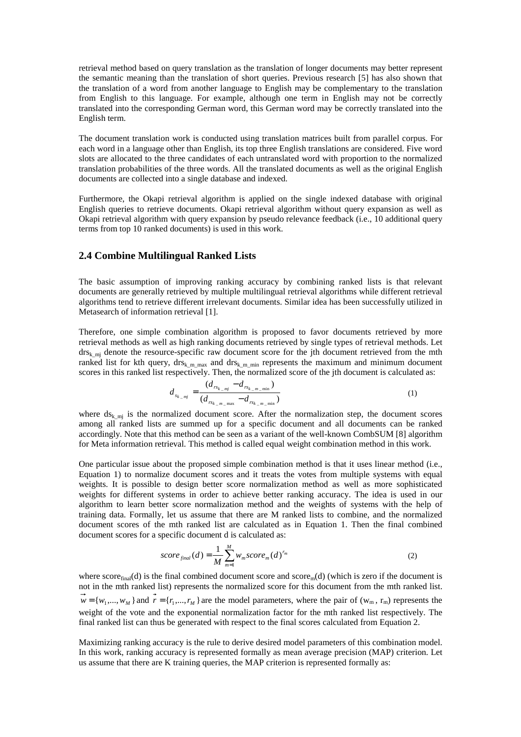retrieval method based on query translation as the translation of longer documents may better represent the semantic meaning than the translation of short queries. Previous research [5] has also shown that the translation of a word from another language to English may be complementary to the translation from English to this language. For example, although one term in English may not be correctly translated into the corresponding German word, this German word may be correctly translated into the English term.

The document translation work is conducted using translation matrices built from parallel corpus. For each word in a language other than English, its top three English translations are considered. Five word slots are allocated to the three candidates of each untranslated word with proportion to the normalized translation probabilities of the three words. All the translated documents as well as the original English documents are collected into a single database and indexed.

Furthermore, the Okapi retrieval algorithm is applied on the single indexed database with original English queries to retrieve documents. Okapi retrieval algorithm without query expansion as well as Okapi retrieval algorithm with query expansion by pseudo relevance feedback (i.e., 10 additional query terms from top 10 ranked documents) is used in this work.

#### **2.4 Combine Multilingual Ranked Lists**

The basic assumption of improving ranking accuracy by combining ranked lists is that relevant documents are generally retrieved by multiple multilingual retrieval algorithms while different retrieval algorithms tend to retrieve different irrelevant documents. Similar idea has been successfully utilized in Metasearch of information retrieval [1].

Therefore, one simple combination algorithm is proposed to favor documents retrieved by more retrieval methods as well as high ranking documents retrieved by single types of retrieval methods. Let drs<sub>k\_mj</sub> denote the resource-specific raw document score for the jth document retrieved from the mth ranked list for kth query, drs<sub>k\_m\_max</sub> and drs<sub>k\_m\_min</sub> represents the maximum and minimum document scores in this ranked list respectively. Then, the normalized score of the jth document is calculated as:

$$
d_{s_{k_{-}mj}} = \frac{(d_{rs_{k_{-}mj}} - d_{rs_{k_{-}m_{-}mi}})}{(d_{rs_{k_{-}m_{-}mi}} - d_{rs_{k_{-}m_{-}mi}})}
$$
(1)

where  $ds_{k,mj}$  is the normalized document score. After the normalization step, the document scores among all ranked lists are summed up for a specific document and all documents can be ranked accordingly. Note that this method can be seen as a variant of the well-known CombSUM [8] algorithm for Meta information retrieval. This method is called equal weight combination method in this work.

One particular issue about the proposed simple combination method is that it uses linear method (i.e., Equation 1) to normalize document scores and it treats the votes from multiple systems with equal weights. It is possible to design better score normalization method as well as more sophisticated weights for different systems in order to achieve better ranking accuracy. The idea is used in our algorithm to learn better score normalization method and the weights of systems with the help of training data. Formally, let us assume that there are M ranked lists to combine, and the normalized document scores of the mth ranked list are calculated as in Equation 1. Then the final combined document scores for a specific document d is calculated as:

$$
score_{final}(d) = \frac{1}{M} \sum_{m=1}^{M} w_m score_m(d)^{r_m}
$$
\n(2)

where  $score_{final}(d)$  is the final combined document score and  $score_{mid}(d)$  (which is zero if the document is not in the mth ranked list) represents the normalized score for this document from the mth ranked list.  ${\bf r} = \{w_1, \dots, w_M\}$  and  ${\bf r} = \{r_1, \dots, r_M\}$  are the model parameters, where the pair of  $(w_m, r_m)$  represents the weight of the vote and the exponential normalization factor for the mth ranked list respectively. The final ranked list can thus be generated with respect to the final scores calculated from Equation 2.

Maximizing ranking accuracy is the rule to derive desired model parameters of this combination model. In this work, ranking accuracy is represented formally as mean average precision (MAP) criterion. Let us assume that there are K training queries, the MAP criterion is represented formally as: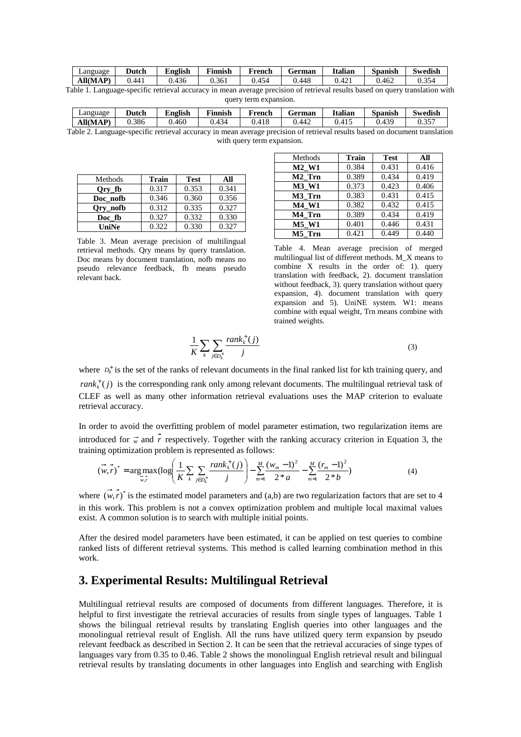| Language | Dutch  | English | $\sim$<br>Finnish | French | $-$<br>German | Italian            | Spanish | Swedish     |
|----------|--------|---------|-------------------|--------|---------------|--------------------|---------|-------------|
| All(MAP) | 0.441  | 436     | 0.361             | 454    | .448          | $\Lambda$<br>0.421 | 0.462   | 354<br>U.S. |
|          | $\sim$ |         |                   |        |               |                    |         |             |

Table 1. Language-specific retrieval accuracy in mean average precision of retrieval results based on query translation with query term expansion.

| ∠anguage | Dutch | English | Finnish | French | German    | Italian | Spanish | Swedish      |
|----------|-------|---------|---------|--------|-----------|---------|---------|--------------|
| All(MAP) | J.386 | 0.460   | J.434   | 0.418  | 442<br>v. | 0.415   | J.439   | 0.25<br>0.35 |

Table 2. Language-specific retrieval accuracy in mean average precision of retrieval results based on document translation with query term expansion.

| Methods  | Train | <b>Test</b> | All   |
|----------|-------|-------------|-------|
| Ory fb   | 0.317 | 0.353       | 0.341 |
| Doc nofb | 0.346 | 0.360       | 0.356 |
| Ory_nofb | 0.312 | 0.335       | 0.327 |
| Doc fb   | 0.327 | 0.332       | 0.330 |
| UniNe    | 0.322 | 0.330       | 0.327 |

Table 3. Mean average precision of multilingual retrieval methods. Qry means by query translation. Doc means by document translation, nofb means no pseudo relevance feedback, fb means pseudo relevant back.

| Methods            | <b>Train</b> | <b>Test</b> | All   |
|--------------------|--------------|-------------|-------|
| M2 W1              | 0.384        | 0.431       | 0.416 |
| M <sub>2</sub> Trn | 0.389        | 0.434       | 0.419 |
| M3 W1              | 0.373        | 0.423       | 0.406 |
| M3 Trn             | 0.383        | 0.431       | 0.415 |
| <b>M4 W1</b>       | 0.382        | 0.432       | 0.415 |
| M4 Trn             | 0.389        | 0.434       | 0.419 |
| <b>M5 W1</b>       | 0.401        | 0.446       | 0.431 |
| M5 Trn             | 0.421        | 0.449       | 0.440 |

Table 4. Mean average precision of merged multilingual list of different methods. M\_X means to combine X results in the order of: 1). query translation with feedback, 2). document translation without feedback, 3). query translation without query expansion, 4). document translation with query expansion and 5). UniNE system. W1: means combine with equal weight, Trn means combine with trained weights.

$$
\frac{1}{K} \sum_{k} \sum_{j \in D_k^+} \frac{rank_k^+(j)}{j} \tag{3}
$$

where  $D_k^{\dagger}$  is the set of the ranks of relevant documents in the final ranked list for kth training query, and  $rank_k^+(j)$  is the corresponding rank only among relevant documents. The multilingual retrieval task of CLEF as well as many other information retrieval evaluations uses the MAP criterion to evaluate retrieval accuracy.

In order to avoid the overfitting problem of model parameter estimation, two regularization items are introduced for  $\vec{w}$  and  $\vec{r}$  respectively. Together with the ranking accuracy criterion in Equation 3, the training optimization problem is represented as follows:

$$
(\vec{w},\vec{r})^* = \underset{\vec{w},\vec{r}}{\arg \max} (\log \left( \frac{1}{K} \sum_{k} \sum_{j \in D_k^+} \frac{rank_k^+(j)}{j} \right) - \sum_{m=1}^M \frac{(w_m - 1)^2}{2 \cdot a} - \sum_{m=1}^M \frac{(r_m - 1)^2}{2 \cdot b} ) \tag{4}
$$

where  $(w, r)^*$  is the estimated model parameters and (a,b) are two regularization factors that are set to 4 in this work. This problem is not a convex optimization problem and multiple local maximal values exist. A common solution is to search with multiple initial points.

After the desired model parameters have been estimated, it can be applied on test queries to combine ranked lists of different retrieval systems. This method is called learning combination method in this work.

# **3. Experimental Results: Multilingual Retrieval**

Multilingual retrieval results are composed of documents from different languages. Therefore, it is helpful to first investigate the retrieval accuracies of results from single types of languages. Table 1 shows the bilingual retrieval results by translating English queries into other languages and the monolingual retrieval result of English. All the runs have utilized query term expansion by pseudo relevant feedback as described in Section 2. It can be seen that the retrieval accuracies of singe types of languages vary from 0.35 to 0.46. Table 2 shows the monolingual English retrieval result and bilingual retrieval results by translating documents in other languages into English and searching with English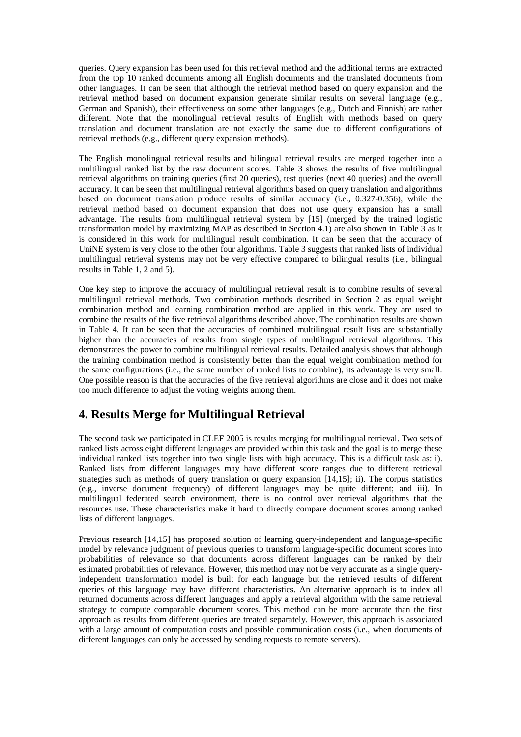queries. Query expansion has been used for this retrieval method and the additional terms are extracted from the top 10 ranked documents among all English documents and the translated documents from other languages. It can be seen that although the retrieval method based on query expansion and the retrieval method based on document expansion generate similar results on several language (e.g., German and Spanish), their effectiveness on some other languages (e.g., Dutch and Finnish) are rather different. Note that the monolingual retrieval results of English with methods based on query translation and document translation are not exactly the same due to different configurations of retrieval methods (e.g., different query expansion methods).

The English monolingual retrieval results and bilingual retrieval results are merged together into a multilingual ranked list by the raw document scores. Table 3 shows the results of five multilingual retrieval algorithms on training queries (first 20 queries), test queries (next 40 queries) and the overall accuracy. It can be seen that multilingual retrieval algorithms based on query translation and algorithms based on document translation produce results of similar accuracy (i.e., 0.327-0.356), while the retrieval method based on document expansion that does not use query expansion has a small advantage. The results from multilingual retrieval system by [15] (merged by the trained logistic transformation model by maximizing MAP as described in Section 4.1) are also shown in Table 3 as it is considered in this work for multilingual result combination. It can be seen that the accuracy of UniNE system is very close to the other four algorithms. Table 3 suggests that ranked lists of individual multilingual retrieval systems may not be very effective compared to bilingual results (i.e., bilingual results in Table 1, 2 and 5).

One key step to improve the accuracy of multilingual retrieval result is to combine results of several multilingual retrieval methods. Two combination methods described in Section 2 as equal weight combination method and learning combination method are applied in this work. They are used to combine the results of the five retrieval algorithms described above. The combination results are shown in Table 4. It can be seen that the accuracies of combined multilingual result lists are substantially higher than the accuracies of results from single types of multilingual retrieval algorithms. This demonstrates the power to combine multilingual retrieval results. Detailed analysis shows that although the training combination method is consistently better than the equal weight combination method for the same configurations (i.e., the same number of ranked lists to combine), its advantage is very small. One possible reason is that the accuracies of the five retrieval algorithms are close and it does not make too much difference to adjust the voting weights among them.

# **4. Results Merge for Multilingual Retrieval**

The second task we participated in CLEF 2005 is results merging for multilingual retrieval. Two sets of ranked lists across eight different languages are provided within this task and the goal is to merge these individual ranked lists together into two single lists with high accuracy. This is a difficult task as: i). Ranked lists from different languages may have different score ranges due to different retrieval strategies such as methods of query translation or query expansion [14,15]; ii). The corpus statistics (e.g., inverse document frequency) of different languages may be quite different; and iii). In multilingual federated search environment, there is no control over retrieval algorithms that the resources use. These characteristics make it hard to directly compare document scores among ranked lists of different languages.

Previous research [14,15] has proposed solution of learning query-independent and language-specific model by relevance judgment of previous queries to transform language-specific document scores into probabilities of relevance so that documents across different languages can be ranked by their estimated probabilities of relevance. However, this method may not be very accurate as a single queryindependent transformation model is built for each language but the retrieved results of different queries of this language may have different characteristics. An alternative approach is to index all returned documents across different languages and apply a retrieval algorithm with the same retrieval strategy to compute comparable document scores. This method can be more accurate than the first approach as results from different queries are treated separately. However, this approach is associated with a large amount of computation costs and possible communication costs (i.e., when documents of different languages can only be accessed by sending requests to remote servers).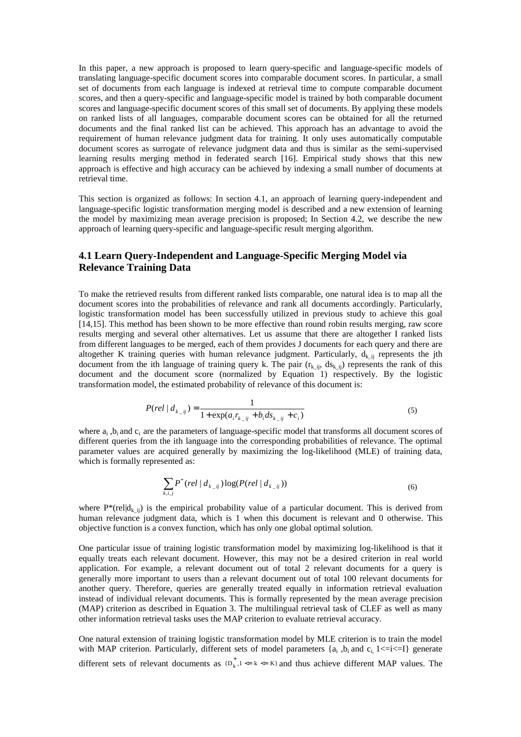In this paper, a new approach is proposed to learn query-specific and language-specific models of translating language-specific document scores into comparable document scores. In particular, a small set of documents from each language is indexed at retrieval time to compute comparable document scores, and then a query-specific and language-specific model is trained by both comparable document scores and language-specific document scores of this small set of documents. By applying these models on ranked lists of all languages, comparable document scores can be obtained for all the returned documents and the final ranked list can be achieved. This approach has an advantage to avoid the requirement of human relevance judgment data for training. It only uses automatically computable document scores as surrogate of relevance judgment data and thus is similar as the semi-supervised learning results merging method in federated search [16]. Empirical study shows that this new approach is effective and high accuracy can be achieved by indexing a small number of documents at retrieval time.

This section is organized as follows: In section 4.1, an approach of learning query-independent and language-specific logistic transformation merging model is described and a new extension of learning the model by maximizing mean average precision is proposed; In Section 4.2, we describe the new approach of learning query-specific and language-specific result merging algorithm.

#### **4.1 Learn Query-Independent and Language-Specific Merging Model via Relevance Training Data**

To make the retrieved results from different ranked lists comparable, one natural idea is to map all the document scores into the probabilities of relevance and rank all documents accordingly. Particularly, logistic transformation model has been successfully utilized in previous study to achieve this goal [14,15]. This method has been shown to be more effective than round robin results merging, raw score results merging and several other alternatives. Let us assume that there are altogether I ranked lists from different languages to be merged, each of them provides J documents for each query and there are altogether K training queries with human relevance judgment. Particularly,  $d_{k-ij}$  represents the jth document from the ith language of training query k. The pair  $(r_{k-ij}, ds_{k-ij})$  represents the rank of this document and the document score (normalized by Equation 1) respectively. By the logistic transformation model, the estimated probability of relevance of this document is:

$$
P(\text{rel} \mid d_{k_{-}ij}) = \frac{1}{1 + \exp(a_i r_{k_{-}ij} + b_i ds_{k_{-}ij} + c_i)}
$$
(5)

where  $a_i$ ,  $b_i$  and  $c_i$  are the parameters of language-specific model that transforms all document scores of different queries from the ith language into the corresponding probabilities of relevance. The optimal parameter values are acquired generally by maximizing the log-likelihood (MLE) of training data, which is formally represented as:

$$
\sum_{k,i,j} P^*(rel \mid d_{k_{-}ij}) \log(P(rel \mid d_{k_{-}ij})) \tag{6}
$$

where P\*(rel|d<sub>k ii</sub>) is the empirical probability value of a particular document. This is derived from human relevance judgment data, which is 1 when this document is relevant and 0 otherwise. This objective function is a convex function, which has only one global optimal solution.

One particular issue of training logistic transformation model by maximizing log-likelihood is that it equally treats each relevant document. However, this may not be a desired criterion in real world application. For example, a relevant document out of total 2 relevant documents for a query is generally more important to users than a relevant document out of total 100 relevant documents for another query. Therefore, queries are generally treated equally in information retrieval evaluation instead of individual relevant documents. This is formally represented by the mean average precision (MAP) criterion as described in Equation 3. The multilingual retrieval task of CLEF as well as many other information retrieval tasks uses the MAP criterion to evaluate retrieval accuracy.

One natural extension of training logistic transformation model by MLE criterion is to train the model with MAP criterion. Particularly, different sets of model parameters  $\{a_i, b_i\}$  and  $c_i$ ,  $1 \le i \le I\}$  generate different sets of relevant documents as  $\{D_k^+\}$ ,  $k \leq K$  and thus achieve different MAP values. The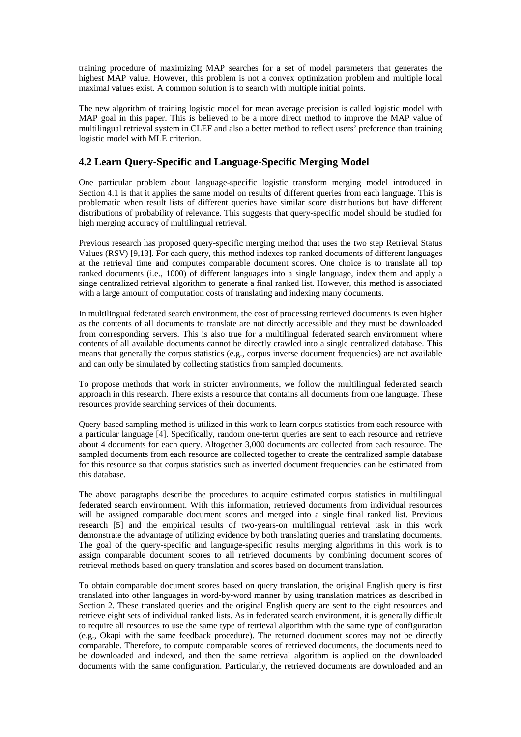training procedure of maximizing MAP searches for a set of model parameters that generates the highest MAP value. However, this problem is not a convex optimization problem and multiple local maximal values exist. A common solution is to search with multiple initial points.

The new algorithm of training logistic model for mean average precision is called logistic model with MAP goal in this paper. This is believed to be a more direct method to improve the MAP value of multilingual retrieval system in CLEF and also a better method to reflect users' preference than training logistic model with MLE criterion.

## **4.2 Learn Query-Specific and Language-Specific Merging Model**

One particular problem about language-specific logistic transform merging model introduced in Section 4.1 is that it applies the same model on results of different queries from each language. This is problematic when result lists of different queries have similar score distributions but have different distributions of probability of relevance. This suggests that query-specific model should be studied for high merging accuracy of multilingual retrieval.

Previous research has proposed query-specific merging method that uses the two step Retrieval Status Values (RSV) [9,13]. For each query, this method indexes top ranked documents of different languages at the retrieval time and computes comparable document scores. One choice is to translate all top ranked documents (i.e., 1000) of different languages into a single language, index them and apply a singe centralized retrieval algorithm to generate a final ranked list. However, this method is associated with a large amount of computation costs of translating and indexing many documents.

In multilingual federated search environment, the cost of processing retrieved documents is even higher as the contents of all documents to translate are not directly accessible and they must be downloaded from corresponding servers. This is also true for a multilingual federated search environment where contents of all available documents cannot be directly crawled into a single centralized database. This means that generally the corpus statistics (e.g., corpus inverse document frequencies) are not available and can only be simulated by collecting statistics from sampled documents.

To propose methods that work in stricter environments, we follow the multilingual federated search approach in this research. There exists a resource that contains all documents from one language. These resources provide searching services of their documents.

Query-based sampling method is utilized in this work to learn corpus statistics from each resource with a particular language [4]. Specifically, random one-term queries are sent to each resource and retrieve about 4 documents for each query. Altogether 3,000 documents are collected from each resource. The sampled documents from each resource are collected together to create the centralized sample database for this resource so that corpus statistics such as inverted document frequencies can be estimated from this database.

The above paragraphs describe the procedures to acquire estimated corpus statistics in multilingual federated search environment. With this information, retrieved documents from individual resources will be assigned comparable document scores and merged into a single final ranked list. Previous research [5] and the empirical results of two-years-on multilingual retrieval task in this work demonstrate the advantage of utilizing evidence by both translating queries and translating documents. The goal of the query-specific and language-specific results merging algorithms in this work is to assign comparable document scores to all retrieved documents by combining document scores of retrieval methods based on query translation and scores based on document translation.

To obtain comparable document scores based on query translation, the original English query is first translated into other languages in word-by-word manner by using translation matrices as described in Section 2. These translated queries and the original English query are sent to the eight resources and retrieve eight sets of individual ranked lists. As in federated search environment, it is generally difficult to require all resources to use the same type of retrieval algorithm with the same type of configuration (e.g., Okapi with the same feedback procedure). The returned document scores may not be directly comparable. Therefore, to compute comparable scores of retrieved documents, the documents need to be downloaded and indexed, and then the same retrieval algorithm is applied on the downloaded documents with the same configuration. Particularly, the retrieved documents are downloaded and an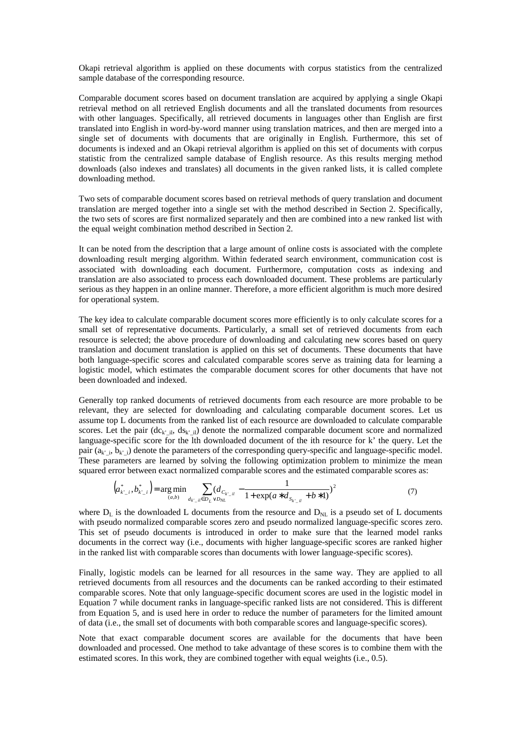Okapi retrieval algorithm is applied on these documents with corpus statistics from the centralized sample database of the corresponding resource.

Comparable document scores based on document translation are acquired by applying a single Okapi retrieval method on all retrieved English documents and all the translated documents from resources with other languages. Specifically, all retrieved documents in languages other than English are first translated into English in word-by-word manner using translation matrices, and then are merged into a single set of documents with documents that are originally in English. Furthermore, this set of documents is indexed and an Okapi retrieval algorithm is applied on this set of documents with corpus statistic from the centralized sample database of English resource. As this results merging method downloads (also indexes and translates) all documents in the given ranked lists, it is called complete downloading method.

Two sets of comparable document scores based on retrieval methods of query translation and document translation are merged together into a single set with the method described in Section 2. Specifically, the two sets of scores are first normalized separately and then are combined into a new ranked list with the equal weight combination method described in Section 2.

It can be noted from the description that a large amount of online costs is associated with the complete downloading result merging algorithm. Within federated search environment, communication cost is associated with downloading each document. Furthermore, computation costs as indexing and translation are also associated to process each downloaded document. These problems are particularly serious as they happen in an online manner. Therefore, a more efficient algorithm is much more desired for operational system.

The key idea to calculate comparable document scores more efficiently is to only calculate scores for a small set of representative documents. Particularly, a small set of retrieved documents from each resource is selected; the above procedure of downloading and calculating new scores based on query translation and document translation is applied on this set of documents. These documents that have both language-specific scores and calculated comparable scores serve as training data for learning a logistic model, which estimates the comparable document scores for other documents that have not been downloaded and indexed.

Generally top ranked documents of retrieved documents from each resource are more probable to be relevant, they are selected for downloading and calculating comparable document scores. Let us assume top L documents from the ranked list of each resource are downloaded to calculate comparable scores. Let the pair  $(de_k^i_{ki}, ds_k^i_{ki})$  denote the normalized comparable document score and normalized language-specific score for the lth downloaded document of the ith resource for k' the query. Let the pair  $(a_k, b_k, b_k)$  denote the parameters of the corresponding query-specific and language-specific model. These parameters are learned by solving the following optimization problem to minimize the mean squared error between exact normalized comparable scores and the estimated comparable scores as:

$$
\left(a_{k'-i}^*, b_{k'-i}^*\right) = \underset{(a,b)}{\text{arg min}} \sum_{d_{k'-il} \in D_L \vee D_{NL}} \left(d_{C_{k'-il}} - \frac{1}{1 + \exp(a \cdot d_{S_{k'-il}} + b \cdot 1)}\right)^2 \tag{7}
$$

where  $D_L$  is the downloaded L documents from the resource and  $D_{NL}$  is a pseudo set of L documents with pseudo normalized comparable scores zero and pseudo normalized language-specific scores zero. This set of pseudo documents is introduced in order to make sure that the learned model ranks documents in the correct way (i.e., documents with higher language-specific scores are ranked higher in the ranked list with comparable scores than documents with lower language-specific scores).

Finally, logistic models can be learned for all resources in the same way. They are applied to all retrieved documents from all resources and the documents can be ranked according to their estimated comparable scores. Note that only language-specific document scores are used in the logistic model in Equation 7 while document ranks in language-specific ranked lists are not considered. This is different from Equation 5, and is used here in order to reduce the number of parameters for the limited amount of data (i.e., the small set of documents with both comparable scores and language-specific scores).

Note that exact comparable document scores are available for the documents that have been downloaded and processed. One method to take advantage of these scores is to combine them with the estimated scores. In this work, they are combined together with equal weights (i.e., 0.5).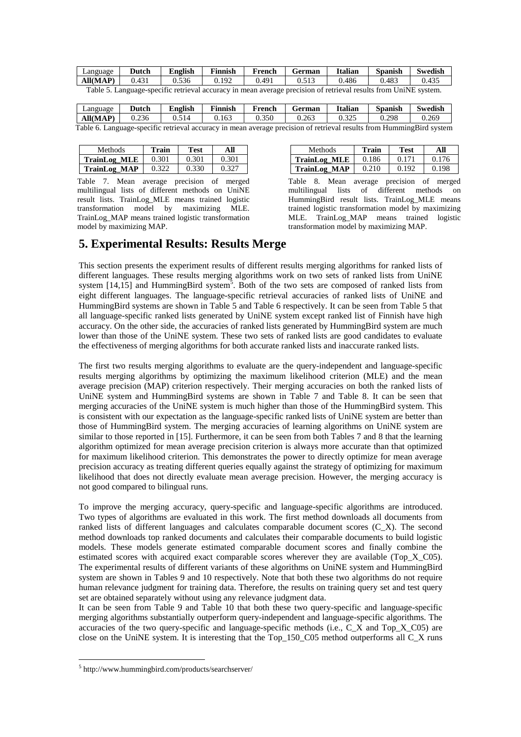| Language                                                                                                        | Dutch | <b>English</b> | Finnish | French | German | <b>Italian</b> | <b>Spanish</b> | <b>Swedish</b> |
|-----------------------------------------------------------------------------------------------------------------|-------|----------------|---------|--------|--------|----------------|----------------|----------------|
| All(MAP)                                                                                                        | 0.431 | 0.536          | 0.192   | 0.491  | 0.513  | 0.486          | 0.483          | 0.435          |
| Table 5. Language-specific retrieval accuracy in mean average precision of retrieval results from UniNE system. |       |                |         |        |        |                |                |                |

| Language                                                                                                             | Dutch | <b>English</b> | <b>Finnish</b> | French | German | <b>Italian</b> | <b>Spanish</b> | <b>Swedish</b> |
|----------------------------------------------------------------------------------------------------------------------|-------|----------------|----------------|--------|--------|----------------|----------------|----------------|
| <b>All(MAP)</b>                                                                                                      | 0.236 | 0.514          | 0.163          | 0.350  | 0.263  | 0.325          | 0.298          | 0.269          |
| Table 6. Language-specific retrieval accuracy in mean average precision of retrieval results from HummingBird system |       |                |                |        |        |                |                |                |

| Methods.            | Train | Test  | All   |  |
|---------------------|-------|-------|-------|--|
| <b>TrainLog MLE</b> | 0.301 | 0.301 | 0.301 |  |
| <b>TrainLog MAP</b> | 0.322 | 0.330 | 0.327 |  |

Table 7. Mean average precision of merged multilingual lists of different methods on UniNE result lists. TrainLog\_MLE means trained logistic transformation model by maximizing MLE. TrainLog\_MAP means trained logistic transformation model by maximizing MAP.

| Methods.            | Train | Test  | All   |  |
|---------------------|-------|-------|-------|--|
| <b>TrainLog MLE</b> | 0.186 | 0.171 | 0.176 |  |
| <b>TrainLog MAP</b> | 0.210 | 0.192 | 0.198 |  |

Table 8. Mean average precision of merged multilingual lists of different methods on HummingBird result lists. TrainLog\_MLE means trained logistic transformation model by maximizing MLE. TrainLog\_MAP means trained logistic transformation model by maximizing MAP.

## **5. Experimental Results: Results Merge**

This section presents the experiment results of different results merging algorithms for ranked lists of different languages. These results merging algorithms work on two sets of ranked lists from UniNE system  $[14,15]$  and HummingBird system<sup>5</sup>. Both of the two sets are composed of ranked lists from eight different languages. The language-specific retrieval accuracies of ranked lists of UniNE and HummingBird systems are shown in Table 5 and Table 6 respectively. It can be seen from Table 5 that all language-specific ranked lists generated by UniNE system except ranked list of Finnish have high accuracy. On the other side, the accuracies of ranked lists generated by HummingBird system are much lower than those of the UniNE system. These two sets of ranked lists are good candidates to evaluate the effectiveness of merging algorithms for both accurate ranked lists and inaccurate ranked lists.

The first two results merging algorithms to evaluate are the query-independent and language-specific results merging algorithms by optimizing the maximum likelihood criterion (MLE) and the mean average precision (MAP) criterion respectively. Their merging accuracies on both the ranked lists of UniNE system and HummingBird systems are shown in Table 7 and Table 8. It can be seen that merging accuracies of the UniNE system is much higher than those of the HummingBird system. This is consistent with our expectation as the language-specific ranked lists of UniNE system are better than those of HummingBird system. The merging accuracies of learning algorithms on UniNE system are similar to those reported in [15]. Furthermore, it can be seen from both Tables 7 and 8 that the learning algorithm optimized for mean average precision criterion is always more accurate than that optimized for maximum likelihood criterion. This demonstrates the power to directly optimize for mean average precision accuracy as treating different queries equally against the strategy of optimizing for maximum likelihood that does not directly evaluate mean average precision. However, the merging accuracy is not good compared to bilingual runs.

To improve the merging accuracy, query-specific and language-specific algorithms are introduced. Two types of algorithms are evaluated in this work. The first method downloads all documents from ranked lists of different languages and calculates comparable document scores (C\_X). The second method downloads top ranked documents and calculates their comparable documents to build logistic models. These models generate estimated comparable document scores and finally combine the estimated scores with acquired exact comparable scores wherever they are available (Top\_X\_C05). The experimental results of different variants of these algorithms on UniNE system and HummingBird system are shown in Tables 9 and 10 respectively. Note that both these two algorithms do not require human relevance judgment for training data. Therefore, the results on training query set and test query set are obtained separately without using any relevance judgment data.

It can be seen from Table 9 and Table 10 that both these two query-specific and language-specific merging algorithms substantially outperform query-independent and language-specific algorithms. The accuracies of the two query-specific and language-specific methods (i.e.,  $\overline{C}$  X and Top X C05) are close on the UniNE system. It is interesting that the Top\_150\_C05 method outperforms all C\_X runs

 $\overline{a}$ 

<sup>5</sup> http://www.hummingbird.com/products/searchserver/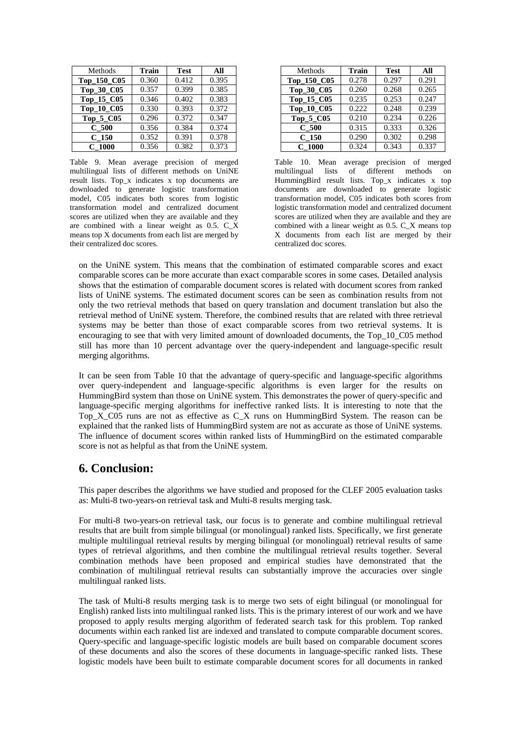| Methods     | <b>Train</b> | <b>Test</b> | All   |
|-------------|--------------|-------------|-------|
| Top_150_C05 | 0.360        | 0.412       | 0.395 |
| Top_30_C05  | 0.357        | 0.399       | 0.385 |
| Top_15_C05  | 0.346        | 0.402       | 0.383 |
| Top_10_C05  | 0.330        | 0.393       | 0.372 |
| Top_5_C05   | 0.296        | 0.372       | 0.347 |
| $C_500$     | 0.356        | 0.384       | 0.374 |
| $C_150$     | 0.352        | 0.391       | 0.378 |
| $C$ 1000    | 0.356        | 0.382       | 0.373 |

Table 9. Mean average precision of merged multilingual lists of different methods on UniNE result lists. Top\_x indicates x top documents are downloaded to generate logistic transformation model, C05 indicates both scores from logistic transformation model and centralized document scores are utilized when they are available and they are combined with a linear weight as 0.5. C\_X means top X documents from each list are merged by their centralized doc scores.

| Methods          | <b>Train</b> | <b>Test</b> | All   |
|------------------|--------------|-------------|-------|
| Top_150_C05      | 0.278        | 0.297       | 0.291 |
| Top_30_C05       | 0.260        | 0.268       | 0.265 |
| Top_15_C05       | 0.235        | 0.253       | 0.247 |
| Top_10_C05       | 0.222        | 0.248       | 0.239 |
| Top_5_C05        | 0.210        | 0.234       | 0.226 |
| C <sub>500</sub> | 0.315        | 0.333       | 0.326 |
| C <sub>150</sub> | 0.290        | 0.302       | 0.298 |
| $C$ 1000         | 0.324        | 0.343       | 0.337 |

Table 10. Mean average precision of merged multilingual lists of different methods on HummingBird result lists. Top\_x indicates x top documents are downloaded to generate logistic transformation model, C05 indicates both scores from logistic transformation model and centralized document scores are utilized when they are available and they are combined with a linear weight as 0.5. C\_X means top X documents from each list are merged by their centralized doc scores.

on the UniNE system. This means that the combination of estimated comparable scores and exact comparable scores can be more accurate than exact comparable scores in some cases. Detailed analysis shows that the estimation of comparable document scores is related with document scores from ranked lists of UniNE systems. The estimated document scores can be seen as combination results from not only the two retrieval methods that based on query translation and document translation but also the retrieval method of UniNE system. Therefore, the combined results that are related with three retrieval systems may be better than those of exact comparable scores from two retrieval systems. It is encouraging to see that with very limited amount of downloaded documents, the Top\_10\_C05 method still has more than 10 percent advantage over the query-independent and language-specific result merging algorithms.

It can be seen from Table 10 that the advantage of query-specific and language-specific algorithms over query-independent and language-specific algorithms is even larger for the results on HummingBird system than those on UniNE system. This demonstrates the power of query-specific and language-specific merging algorithms for ineffective ranked lists. It is interesting to note that the Top\_X\_C05 runs are not as effective as  $C_X$  runs on HummingBird System. The reason can be explained that the ranked lists of HummingBird system are not as accurate as those of UniNE systems. The influence of document scores within ranked lists of HummingBird on the estimated comparable score is not as helpful as that from the UniNE system.

## **6. Conclusion:**

This paper describes the algorithms we have studied and proposed for the CLEF 2005 evaluation tasks as: Multi-8 two-years-on retrieval task and Multi-8 results merging task.

For multi-8 two-years-on retrieval task, our focus is to generate and combine multilingual retrieval results that are built from simple bilingual (or monolingual) ranked lists. Specifically, we first generate multiple multilingual retrieval results by merging bilingual (or monolingual) retrieval results of same types of retrieval algorithms, and then combine the multilingual retrieval results together. Several combination methods have been proposed and empirical studies have demonstrated that the combination of multilingual retrieval results can substantially improve the accuracies over single multilingual ranked lists.

The task of Multi-8 results merging task is to merge two sets of eight bilingual (or monolingual for English) ranked lists into multilingual ranked lists. This is the primary interest of our work and we have proposed to apply results merging algorithm of federated search task for this problem. Top ranked documents within each ranked list are indexed and translated to compute comparable document scores. Query-specific and language-specific logistic models are built based on comparable document scores of these documents and also the scores of these documents in language-specific ranked lists. These logistic models have been built to estimate comparable document scores for all documents in ranked